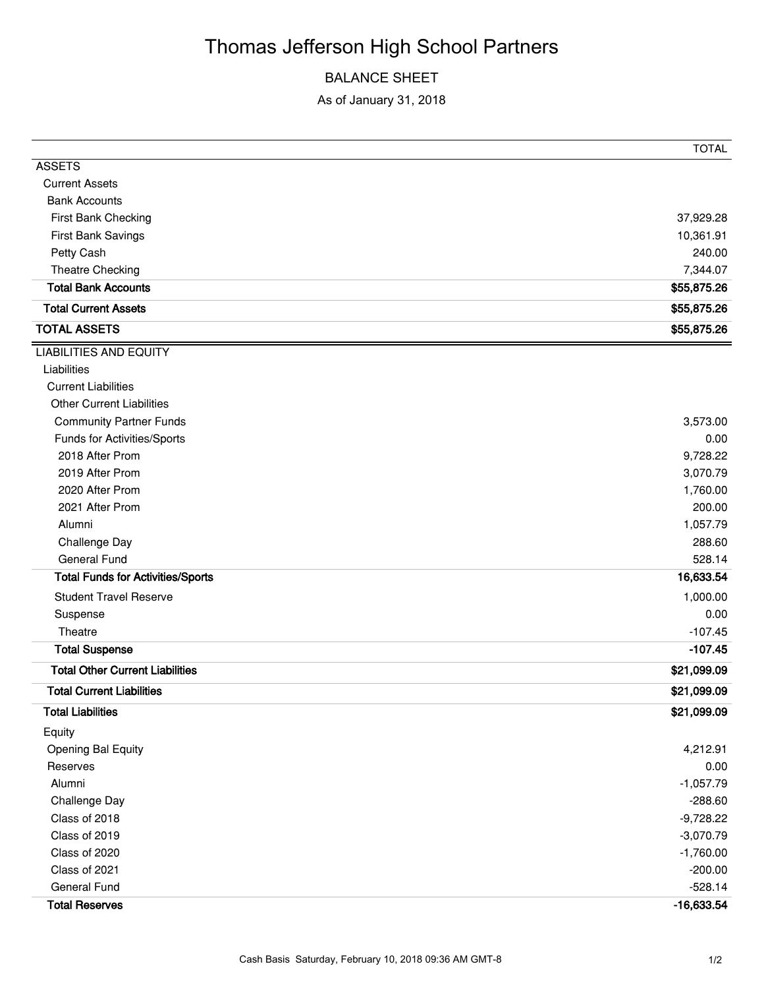# Thomas Jefferson High School Partners

### BALANCE SHEET

As of January 31, 2018

|                                          | <b>TOTAL</b> |
|------------------------------------------|--------------|
| <b>ASSETS</b>                            |              |
| <b>Current Assets</b>                    |              |
| <b>Bank Accounts</b>                     |              |
| First Bank Checking                      | 37,929.28    |
| First Bank Savings                       | 10,361.91    |
| Petty Cash                               | 240.00       |
| Theatre Checking                         | 7,344.07     |
| <b>Total Bank Accounts</b>               | \$55,875.26  |
| <b>Total Current Assets</b>              | \$55,875.26  |
| <b>TOTAL ASSETS</b>                      | \$55,875.26  |
| <b>LIABILITIES AND EQUITY</b>            |              |
| Liabilities                              |              |
| <b>Current Liabilities</b>               |              |
| <b>Other Current Liabilities</b>         |              |
| <b>Community Partner Funds</b>           | 3,573.00     |
| Funds for Activities/Sports              | 0.00         |
| 2018 After Prom                          | 9,728.22     |
| 2019 After Prom                          | 3,070.79     |
| 2020 After Prom                          | 1,760.00     |
| 2021 After Prom                          | 200.00       |
| Alumni                                   | 1,057.79     |
| Challenge Day                            | 288.60       |
| <b>General Fund</b>                      | 528.14       |
| <b>Total Funds for Activities/Sports</b> | 16,633.54    |
| <b>Student Travel Reserve</b>            | 1,000.00     |
| Suspense                                 | 0.00         |
| Theatre                                  | $-107.45$    |
| <b>Total Suspense</b>                    | $-107.45$    |
| <b>Total Other Current Liabilities</b>   | \$21,099.09  |
| <b>Total Current Liabilities</b>         | \$21,099.09  |
| <b>Total Liabilities</b>                 | \$21,099.09  |
| Equity                                   |              |
| Opening Bal Equity                       | 4,212.91     |
| Reserves                                 | 0.00         |
| Alumni                                   | $-1,057.79$  |
| Challenge Day                            | $-288.60$    |
| Class of 2018                            | $-9,728.22$  |
| Class of 2019                            | $-3,070.79$  |
| Class of 2020                            | $-1,760.00$  |
| Class of 2021                            | $-200.00$    |
| General Fund                             | $-528.14$    |
| <b>Total Reserves</b>                    | $-16,633.54$ |
|                                          |              |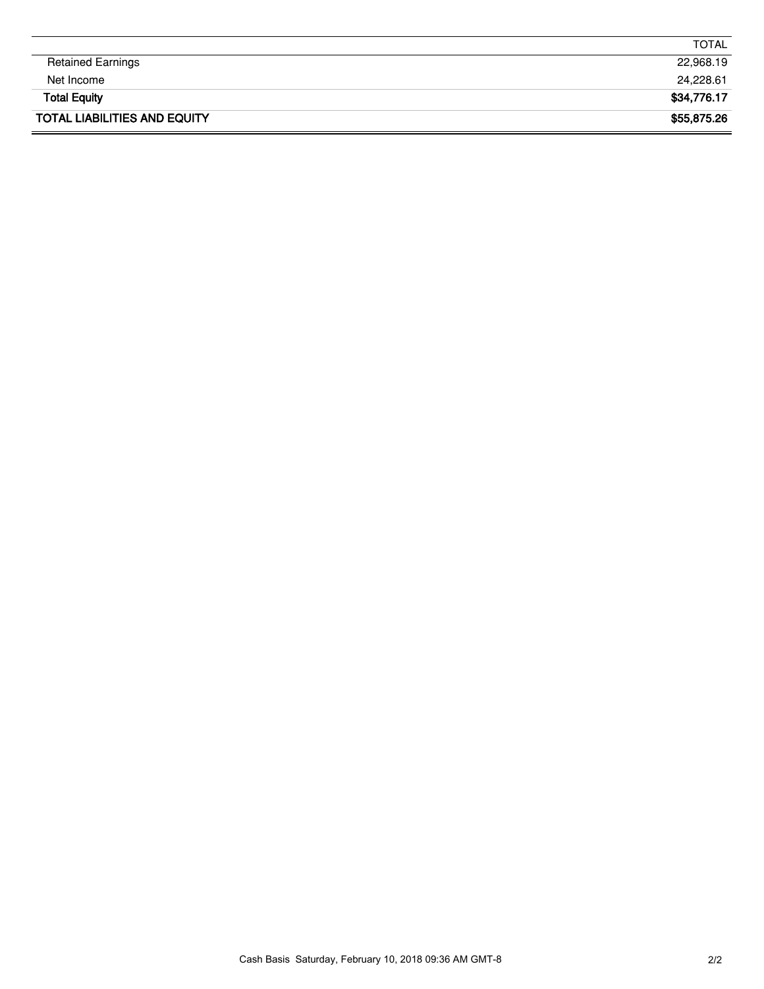|                                     | TOTAL       |
|-------------------------------------|-------------|
| <b>Retained Earnings</b>            | 22,968.19   |
| Net Income                          | 24,228.61   |
| <b>Total Equity</b>                 | \$34,776.17 |
| <b>TOTAL LIABILITIES AND EQUITY</b> | \$55,875.26 |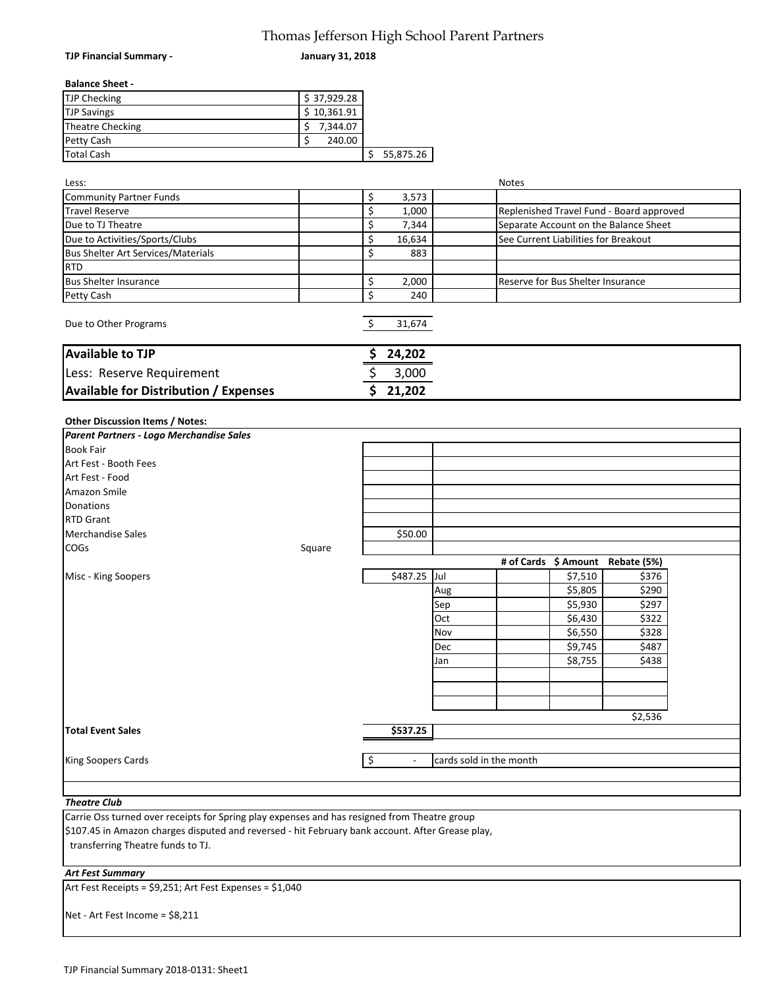#### Thomas Jefferson High School Parent Partners

|                                              | Thomas Jefferson High School Parent Partners |    |           |     |                                      |         |                                          |  |
|----------------------------------------------|----------------------------------------------|----|-----------|-----|--------------------------------------|---------|------------------------------------------|--|
| TJP Financial Summary -                      | <b>January 31, 2018</b>                      |    |           |     |                                      |         |                                          |  |
| <b>Balance Sheet -</b>                       |                                              |    |           |     |                                      |         |                                          |  |
| TJP Checking                                 | \$37,929.28                                  |    |           |     |                                      |         |                                          |  |
| <b>TJP Savings</b>                           | \$10,361.91                                  |    |           |     |                                      |         |                                          |  |
| <b>Theatre Checking</b>                      | \$<br>7,344.07                               |    |           |     |                                      |         |                                          |  |
| Petty Cash                                   | \$<br>240.00                                 |    |           |     |                                      |         |                                          |  |
| <b>Total Cash</b>                            |                                              | \$ | 55,875.26 |     |                                      |         |                                          |  |
|                                              |                                              |    |           |     |                                      |         |                                          |  |
| Less:                                        |                                              |    |           |     | Notes                                |         |                                          |  |
| <b>Community Partner Funds</b>               |                                              | \$ | 3,573     |     |                                      |         |                                          |  |
| <b>Travel Reserve</b>                        |                                              | \$ | 1,000     |     |                                      |         | Replenished Travel Fund - Board approved |  |
| Due to TJ Theatre                            |                                              | \$ | 7,344     |     |                                      |         | Separate Account on the Balance Sheet    |  |
| Due to Activities/Sports/Clubs               |                                              | \$ | 16,634    |     | See Current Liabilities for Breakout |         |                                          |  |
| <b>Bus Shelter Art Services/Materials</b>    |                                              | \$ | 883       |     |                                      |         |                                          |  |
| <b>RTD</b>                                   |                                              |    |           |     |                                      |         |                                          |  |
| <b>Bus Shelter Insurance</b>                 |                                              | \$ | 2,000     |     | Reserve for Bus Shelter Insurance    |         |                                          |  |
| Petty Cash                                   |                                              | \$ | 240       |     |                                      |         |                                          |  |
| Due to Other Programs                        |                                              | \$ | 31,674    |     |                                      |         |                                          |  |
| <b>Available to TJP</b>                      |                                              |    | 24,202    |     |                                      |         |                                          |  |
| Less: Reserve Requirement                    |                                              | \$ | 3,000     |     |                                      |         |                                          |  |
| <b>Available for Distribution / Expenses</b> |                                              | Ś  | 21,202    |     |                                      |         |                                          |  |
|                                              |                                              |    |           |     |                                      |         |                                          |  |
| <b>Other Discussion Items / Notes:</b>       |                                              |    |           |     |                                      |         |                                          |  |
| Parent Partners - Logo Merchandise Sales     |                                              |    |           |     |                                      |         |                                          |  |
| Book Fair                                    |                                              |    |           |     |                                      |         |                                          |  |
| Art Fest - Booth Fees                        |                                              |    |           |     |                                      |         |                                          |  |
| Art Fest - Food                              |                                              |    |           |     |                                      |         |                                          |  |
| Amazon Smile                                 |                                              |    |           |     |                                      |         |                                          |  |
| Donations                                    |                                              |    |           |     |                                      |         |                                          |  |
| <b>RTD Grant</b>                             |                                              |    |           |     |                                      |         |                                          |  |
| Merchandise Sales                            |                                              |    | \$50.00   |     |                                      |         |                                          |  |
| <b>COGs</b>                                  | Square                                       |    |           |     |                                      |         |                                          |  |
|                                              |                                              |    |           |     | # of Cards \$ Amount                 |         | Rebate (5%)                              |  |
| Misc - King Soopers                          |                                              |    | \$487.25  | Jul |                                      | \$7,510 | \$376                                    |  |
|                                              |                                              |    |           | Aug |                                      | \$5,805 | \$290                                    |  |
|                                              |                                              |    |           | Sep |                                      | \$5,930 | \$297                                    |  |
|                                              |                                              |    |           | Oct |                                      | \$6,430 | \$322                                    |  |
|                                              |                                              |    |           | Nov |                                      | \$6,550 | \$328                                    |  |
|                                              |                                              |    |           | Dec |                                      | \$9,745 | \$487                                    |  |
|                                              |                                              |    |           | Jan |                                      | \$8,755 | \$438                                    |  |

Jan \$8,755 \$438

cards sold in the month

\$2,536

*Theatre Club* Carrie Oss turned over receipts for Spring play expenses and has resigned from Theatre group transferring Theatre funds to TJ. \$107.45 in Amazon charges disputed and reversed ‐ hit February bank account. After Grease play,

**Total Event Sales 3537.25** 

King Soopers Cards  $\begin{array}{c} \uparrow \\ \downarrow \end{array}$   $\begin{array}{c} \downarrow \\ \downarrow \end{array}$ 

*Art Fest Summary*

Art Fest Receipts = \$9,251; Art Fest Expenses = \$1,040

Net ‐ Art Fest Income = \$8,211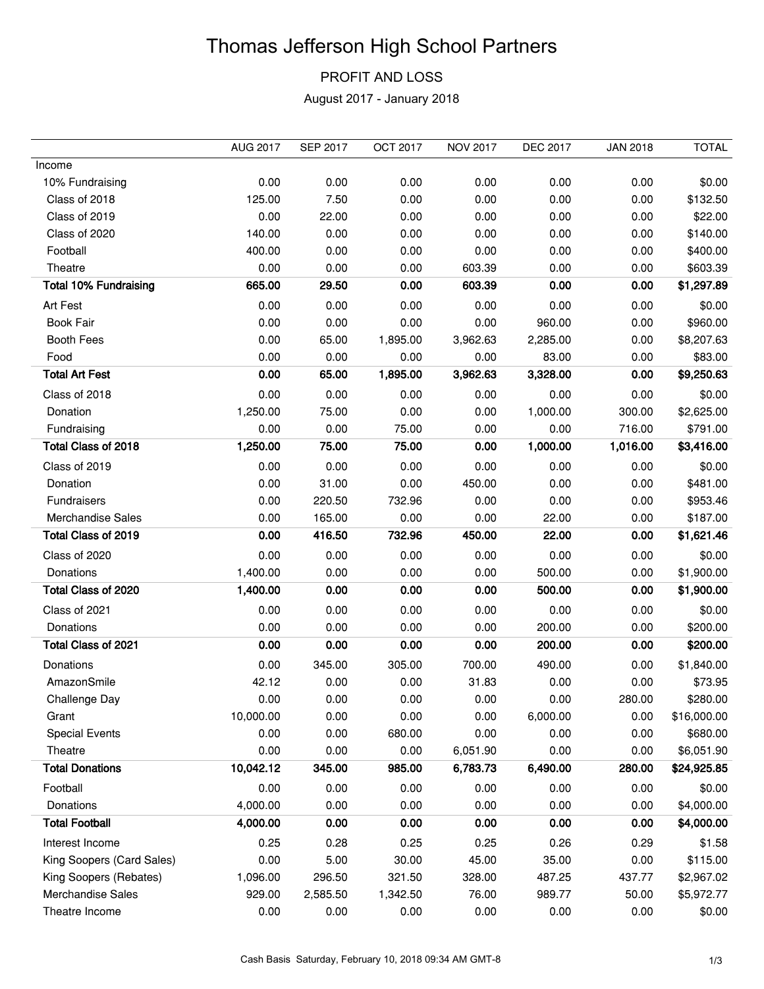## Thomas Jefferson High School Partners

## PROFIT AND LOSS

August 2017 - January 2018

|                              | <b>AUG 2017</b> | <b>SEP 2017</b> | OCT 2017 | <b>NOV 2017</b> | <b>DEC 2017</b> | <b>JAN 2018</b> | <b>TOTAL</b> |
|------------------------------|-----------------|-----------------|----------|-----------------|-----------------|-----------------|--------------|
| Income                       |                 |                 |          |                 |                 |                 |              |
| 10% Fundraising              | 0.00            | 0.00            | 0.00     | 0.00            | 0.00            | 0.00            | \$0.00       |
| Class of 2018                | 125.00          | 7.50            | 0.00     | 0.00            | 0.00            | 0.00            | \$132.50     |
| Class of 2019                | 0.00            | 22.00           | 0.00     | 0.00            | 0.00            | 0.00            | \$22.00      |
| Class of 2020                | 140.00          | 0.00            | 0.00     | 0.00            | 0.00            | 0.00            | \$140.00     |
| Football                     | 400.00          | 0.00            | 0.00     | 0.00            | 0.00            | 0.00            | \$400.00     |
| Theatre                      | 0.00            | 0.00            | 0.00     | 603.39          | 0.00            | 0.00            | \$603.39     |
| <b>Total 10% Fundraising</b> | 665.00          | 29.50           | 0.00     | 603.39          | 0.00            | 0.00            | \$1,297.89   |
| Art Fest                     | 0.00            | 0.00            | 0.00     | 0.00            | 0.00            | 0.00            | \$0.00       |
| <b>Book Fair</b>             | 0.00            | 0.00            | 0.00     | 0.00            | 960.00          | 0.00            | \$960.00     |
| <b>Booth Fees</b>            | 0.00            | 65.00           | 1,895.00 | 3,962.63        | 2,285.00        | 0.00            | \$8,207.63   |
| Food                         | 0.00            | 0.00            | 0.00     | 0.00            | 83.00           | 0.00            | \$83.00      |
| <b>Total Art Fest</b>        | 0.00            | 65.00           | 1,895.00 | 3,962.63        | 3,328.00        | 0.00            | \$9,250.63   |
| Class of 2018                | 0.00            | 0.00            | 0.00     | 0.00            | 0.00            | 0.00            | \$0.00       |
| Donation                     | 1,250.00        | 75.00           | 0.00     | 0.00            | 1,000.00        | 300.00          | \$2,625.00   |
| Fundraising                  | 0.00            | 0.00            | 75.00    | 0.00            | 0.00            | 716.00          | \$791.00     |
| Total Class of 2018          | 1,250.00        | 75.00           | 75.00    | 0.00            | 1,000.00        | 1,016.00        | \$3,416.00   |
| Class of 2019                | 0.00            | 0.00            | 0.00     | 0.00            | 0.00            | 0.00            | \$0.00       |
| Donation                     | 0.00            | 31.00           | 0.00     | 450.00          | 0.00            | 0.00            | \$481.00     |
| <b>Fundraisers</b>           | 0.00            | 220.50          | 732.96   | 0.00            | 0.00            | 0.00            | \$953.46     |
| <b>Merchandise Sales</b>     | 0.00            | 165.00          | 0.00     | 0.00            | 22.00           | 0.00            | \$187.00     |
| Total Class of 2019          | 0.00            | 416.50          | 732.96   | 450.00          | 22.00           | 0.00            | \$1,621.46   |
| Class of 2020                | 0.00            | 0.00            | 0.00     | 0.00            | 0.00            | 0.00            | \$0.00       |
| Donations                    | 1,400.00        | 0.00            | 0.00     | 0.00            | 500.00          | 0.00            | \$1,900.00   |
| Total Class of 2020          | 1,400.00        | 0.00            | 0.00     | 0.00            | 500.00          | 0.00            | \$1,900.00   |
| Class of 2021                | 0.00            | 0.00            | 0.00     | 0.00            | 0.00            | 0.00            | \$0.00       |
| Donations                    | 0.00            | 0.00            | 0.00     | 0.00            | 200.00          | 0.00            | \$200.00     |
| Total Class of 2021          | 0.00            | 0.00            | 0.00     | 0.00            | 200.00          | 0.00            | \$200.00     |
| Donations                    | 0.00            | 345.00          | 305.00   | 700.00          | 490.00          | 0.00            | \$1,840.00   |
| AmazonSmile                  | 42.12           | 0.00            | 0.00     | 31.83           | 0.00            | 0.00            | \$73.95      |
| Challenge Day                | 0.00            | 0.00            | 0.00     | 0.00            | 0.00            | 280.00          | \$280.00     |
| Grant                        | 10,000.00       | 0.00            | 0.00     | 0.00            | 6,000.00        | 0.00            | \$16,000.00  |
| <b>Special Events</b>        | 0.00            | 0.00            | 680.00   | 0.00            | 0.00            | 0.00            | \$680.00     |
| Theatre                      | 0.00            | 0.00            | 0.00     | 6,051.90        | 0.00            | 0.00            | \$6,051.90   |
| <b>Total Donations</b>       | 10,042.12       | 345.00          | 985.00   | 6,783.73        | 6,490.00        | 280.00          | \$24,925.85  |
| Football                     | 0.00            | 0.00            | 0.00     | 0.00            | 0.00            | 0.00            | \$0.00       |
| Donations                    | 4,000.00        | 0.00            | 0.00     | 0.00            | 0.00            | 0.00            | \$4,000.00   |
| <b>Total Football</b>        | 4,000.00        | 0.00            | 0.00     | 0.00            | 0.00            | 0.00            | \$4,000.00   |
| Interest Income              | 0.25            | 0.28            | 0.25     | 0.25            | 0.26            | 0.29            | \$1.58       |
| King Soopers (Card Sales)    | 0.00            | 5.00            | 30.00    | 45.00           | 35.00           | 0.00            | \$115.00     |
| King Soopers (Rebates)       | 1,096.00        | 296.50          | 321.50   | 328.00          | 487.25          | 437.77          | \$2,967.02   |
| Merchandise Sales            | 929.00          | 2,585.50        | 1,342.50 | 76.00           | 989.77          | 50.00           | \$5,972.77   |
| Theatre Income               | 0.00            | 0.00            | 0.00     | 0.00            | 0.00            | 0.00            | \$0.00       |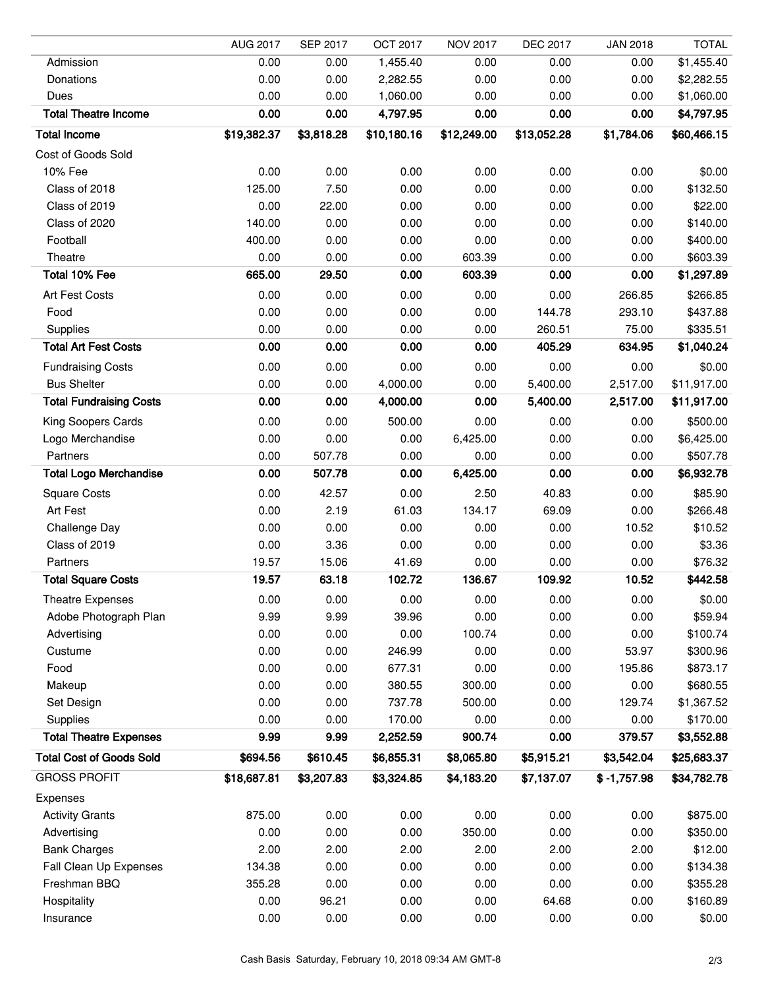|                                 | <b>AUG 2017</b> | <b>SEP 2017</b> | <b>OCT 2017</b> | <b>NOV 2017</b> | <b>DEC 2017</b> | <b>JAN 2018</b> | <b>TOTAL</b> |
|---------------------------------|-----------------|-----------------|-----------------|-----------------|-----------------|-----------------|--------------|
| Admission                       | 0.00            | 0.00            | 1,455.40        | 0.00            | 0.00            | 0.00            | \$1,455.40   |
| Donations                       | 0.00            | 0.00            | 2,282.55        | 0.00            | 0.00            | 0.00            | \$2,282.55   |
| Dues                            | 0.00            | 0.00            | 1,060.00        | 0.00            | 0.00            | 0.00            | \$1,060.00   |
| <b>Total Theatre Income</b>     | 0.00            | 0.00            | 4,797.95        | 0.00            | 0.00            | 0.00            | \$4,797.95   |
| <b>Total Income</b>             | \$19,382.37     | \$3,818.28      | \$10,180.16     | \$12,249.00     | \$13,052.28     | \$1,784.06      | \$60,466.15  |
| Cost of Goods Sold              |                 |                 |                 |                 |                 |                 |              |
| 10% Fee                         | 0.00            | 0.00            | 0.00            | 0.00            | 0.00            | 0.00            | \$0.00       |
| Class of 2018                   | 125.00          | 7.50            | 0.00            | 0.00            | 0.00            | 0.00            | \$132.50     |
| Class of 2019                   | 0.00            | 22.00           | 0.00            | 0.00            | 0.00            | 0.00            | \$22.00      |
| Class of 2020                   | 140.00          | 0.00            | 0.00            | 0.00            | 0.00            | 0.00            | \$140.00     |
| Football                        | 400.00          | 0.00            | 0.00            | 0.00            | 0.00            | 0.00            | \$400.00     |
| Theatre                         | 0.00            | 0.00            | 0.00            | 603.39          | 0.00            | 0.00            | \$603.39     |
| Total 10% Fee                   | 665.00          | 29.50           | 0.00            | 603.39          | 0.00            | 0.00            | \$1,297.89   |
| Art Fest Costs                  | 0.00            | 0.00            | 0.00            | 0.00            | 0.00            | 266.85          | \$266.85     |
| Food                            | 0.00            | 0.00            | 0.00            | 0.00            | 144.78          | 293.10          | \$437.88     |
| Supplies                        | 0.00            | 0.00            | 0.00            | 0.00            | 260.51          | 75.00           | \$335.51     |
| <b>Total Art Fest Costs</b>     | 0.00            | 0.00            | 0.00            | 0.00            | 405.29          | 634.95          | \$1,040.24   |
| <b>Fundraising Costs</b>        | 0.00            | 0.00            | 0.00            | 0.00            | 0.00            | 0.00            | \$0.00       |
| <b>Bus Shelter</b>              | 0.00            | 0.00            | 4,000.00        | 0.00            | 5,400.00        | 2,517.00        | \$11,917.00  |
| <b>Total Fundraising Costs</b>  | 0.00            | 0.00            | 4,000.00        | 0.00            | 5,400.00        | 2,517.00        | \$11,917.00  |
| King Soopers Cards              | 0.00            | 0.00            | 500.00          | 0.00            | 0.00            | 0.00            | \$500.00     |
| Logo Merchandise                | 0.00            | 0.00            | 0.00            | 6,425.00        | 0.00            | 0.00            | \$6,425.00   |
| Partners                        | 0.00            | 507.78          | 0.00            | 0.00            | 0.00            | 0.00            | \$507.78     |
| <b>Total Logo Merchandise</b>   | 0.00            | 507.78          | 0.00            | 6,425.00        | 0.00            | 0.00            | \$6,932.78   |
| <b>Square Costs</b>             | 0.00            | 42.57           | 0.00            | 2.50            | 40.83           | 0.00            | \$85.90      |
| Art Fest                        | 0.00            | 2.19            | 61.03           | 134.17          | 69.09           | 0.00            | \$266.48     |
| Challenge Day                   | 0.00            | 0.00            | 0.00            | 0.00            | 0.00            | 10.52           | \$10.52      |
| Class of 2019                   | 0.00            | 3.36            | 0.00            | 0.00            | 0.00            | 0.00            | \$3.36       |
| Partners                        | 19.57           | 15.06           | 41.69           | 0.00            | 0.00            | 0.00            | \$76.32      |
| <b>Total Square Costs</b>       | 19.57           | 63.18           | 102.72          | 136.67          | 109.92          | 10.52           | \$442.58     |
| Theatre Expenses                | 0.00            | 0.00            | 0.00            | 0.00            | 0.00            | 0.00            | \$0.00       |
| Adobe Photograph Plan           | 9.99            | 9.99            | 39.96           | 0.00            | 0.00            | 0.00            | \$59.94      |
| Advertising                     | 0.00            | 0.00            | 0.00            | 100.74          | 0.00            | 0.00            | \$100.74     |
| Custume                         | 0.00            | 0.00            | 246.99          | 0.00            | 0.00            | 53.97           | \$300.96     |
| Food                            | 0.00            | 0.00            | 677.31          | 0.00            | 0.00            | 195.86          | \$873.17     |
| Makeup                          | 0.00            | 0.00            | 380.55          | 300.00          | 0.00            | 0.00            | \$680.55     |
| Set Design                      | 0.00            | 0.00            | 737.78          | 500.00          | 0.00            | 129.74          | \$1,367.52   |
| Supplies                        | 0.00            | 0.00            | 170.00          | 0.00            | 0.00            | 0.00            | \$170.00     |
| <b>Total Theatre Expenses</b>   | 9.99            | 9.99            | 2,252.59        | 900.74          | 0.00            | 379.57          | \$3,552.88   |
| <b>Total Cost of Goods Sold</b> | \$694.56        | \$610.45        | \$6,855.31      | \$8,065.80      | \$5,915.21      | \$3,542.04      | \$25,683.37  |
| <b>GROSS PROFIT</b>             | \$18,687.81     | \$3,207.83      | \$3,324.85      | \$4,183.20      | \$7,137.07      | $$ -1,757.98$   | \$34,782.78  |
| Expenses                        |                 |                 |                 |                 |                 |                 |              |
| <b>Activity Grants</b>          | 875.00          | 0.00            | 0.00            | 0.00            | 0.00            | 0.00            | \$875.00     |
| Advertising                     | 0.00            | 0.00            | 0.00            | 350.00          | 0.00            | 0.00            | \$350.00     |
| <b>Bank Charges</b>             | 2.00            | 2.00            | 2.00            | 2.00            | 2.00            | 2.00            | \$12.00      |
| Fall Clean Up Expenses          | 134.38          | 0.00            | 0.00            | 0.00            | 0.00            | 0.00            | \$134.38     |
| Freshman BBQ                    | 355.28          | 0.00            | 0.00            | 0.00            | 0.00            | 0.00            | \$355.28     |
| Hospitality                     | 0.00            | 96.21           | 0.00            | 0.00            | 64.68           | 0.00            | \$160.89     |
| Insurance                       | 0.00            | 0.00            | 0.00            | 0.00            | 0.00            | 0.00            | \$0.00       |
|                                 |                 |                 |                 |                 |                 |                 |              |